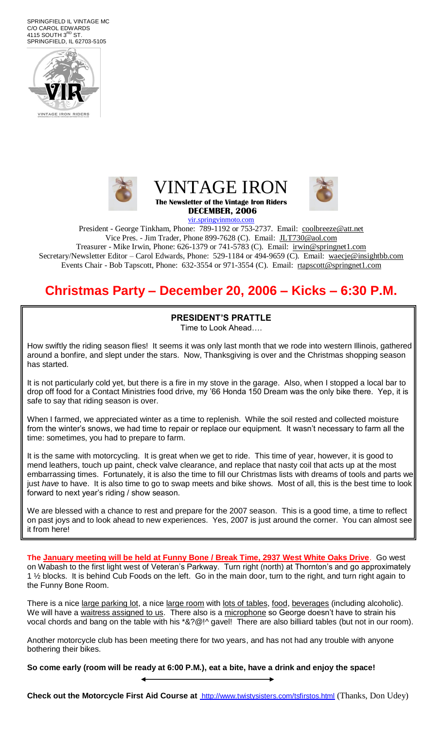SPRINGFIELD IL VINTAGE MC C/O CAROL EDWARDS 4115 SOUTH  $3<sup>RD</sup>$  ST. SPRINGFIELD, IL 62703-5105











President - George Tinkham, Phone: 789-1192 or 753-2737. Email: [coolbreeze@att.net](mailto:coolbreeze@att.net) Vice Pres. - Jim Trader, Phone 899-7628 (C). Email: [JLT730@aol.com](mailto:JLT730@aol.com)

Treasurer - Mike Irwin, Phone: 626-1379 or 741-5783 (C). Email: irwin@springnet1.com Secretary/Newsletter Editor – Carol Edwards, Phone: 529-1184 or 494-9659 (C). Email: waecje@insightbb.com Events Chair - Bob Tapscott, Phone: 632-3554 or 971-3554 (C). Email: [rtapscott@springnet1.com](mailto:rtapscott@springnet1.com)

## **Christmas Party – December 20, 2006 – Kicks – 6:30 P.M.**

### **PRESIDENT'S PRATTLE**

Time to Look Ahead….

How swiftly the riding season flies! It seems it was only last month that we rode into western Illinois, gathered around a bonfire, and slept under the stars. Now, Thanksgiving is over and the Christmas shopping season has started.

It is not particularly cold yet, but there is a fire in my stove in the garage. Also, when I stopped a local bar to drop off food for a Contact Ministries food drive, my '66 Honda 150 Dream was the only bike there. Yep, it is safe to say that riding season is over.

When I farmed, we appreciated winter as a time to replenish. While the soil rested and collected moisture from the winter's snows, we had time to repair or replace our equipment. It wasn't necessary to farm all the time: sometimes, you had to prepare to farm.

It is the same with motorcycling. It is great when we get to ride. This time of year, however, it is good to mend leathers, touch up paint, check valve clearance, and replace that nasty coil that acts up at the most embarrassing times. Fortunately, it is also the time to fill our Christmas lists with dreams of tools and parts we just *have* to have. It is also time to go to swap meets and bike shows. Most of all, this is the best time to look forward to next year's riding / show season.

We are blessed with a chance to rest and prepare for the 2007 season. This is a good time, a time to reflect on past joys and to look ahead to new experiences. Yes, 2007 is just around the corner. You can almost see it from here!

**The January meeting will be held at Funny Bone / Break Time, 2937 West White Oaks Drive**. Go west on Wabash to the first light west of Veteran's Parkway. Turn right (north) at Thornton's and go approximately 1 ½ blocks. It is behind Cub Foods on the left. Go in the main door, turn to the right, and turn right again to the Funny Bone Room.

There is a nice large parking lot, a nice large room with lots of tables, food, beverages (including alcoholic). We will have a waitress assigned to us. There also is a microphone so George doesn't have to strain his vocal chords and bang on the table with his \*&?@!^ gavel! There are also billiard tables (but not in our room).

Another motorcycle club has been meeting there for two years, and has not had any trouble with anyone bothering their bikes.

**So come early (room will be ready at 6:00 P.M.), eat a bite, have a drink and enjoy the space!**

**Check out the Motorcycle First Aid Course at** <http://www.twistysisters.com/tsfirstos.html> (Thanks, Don Udey)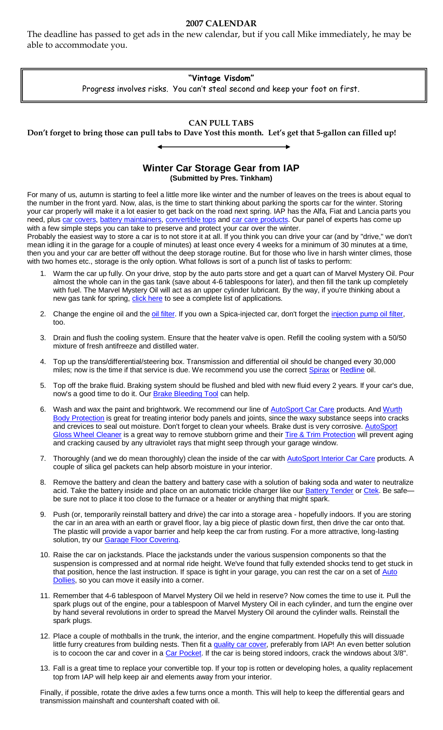#### **2007 CALENDAR**

The deadline has passed to get ads in the new calendar, but if you call Mike immediately, he may be able to accommodate you.

#### **"Vintage Visdom"**

Progress involves risks. You can't steal second and keep your foot on first.

#### **CAN PULL TABS**

**Don't forget to bring those can pull tabs to Dave Yost this month. Let's get that 5-gallon can filled up!**

#### **Winter Car Storage Gear from IAP (Submitted by Pres. Tinkham)**

For many of us, autumn is starting to feel a little more like winter and the number of leaves on the trees is about equal to the number in the front yard. Now, alas, is the time to start thinking about parking the sports car for the winter. Storing your car properly will make it a lot easier to get back on the road next spring. IAP has the Alfa, Fiat and Lancia parts you need, plus [car covers,](http://www.international-auto.com/index.cfm?fa=c&cid=97) [battery maintainers,](http://www.international-auto.com/index.cfm?fa=s&keywords=battery+maintainer) [convertible tops](http://www.international-auto.com/index.cfm?fa=c&cid=74) and [car care products.](http://www.international-auto.com/index.cfm?fa=c&cid=117) Our panel of experts has come up with a few simple steps you can take to preserve and protect your car over the winter.

Probably the easiest way to store a car is to not store it at all. If you think you can drive your car (and by "drive," we don't mean idling it in the garage for a couple of minutes) at least once every 4 weeks for a minimum of 30 minutes at a time, then you and your car are better off without the deep storage routine. But for those who live in harsh winter climes, those with two homes etc., storage is the only option. What follows is sort of a punch list of tasks to perform:

- 1. Warm the car up fully. On your drive, stop by the auto parts store and get a quart can of Marvel Mystery Oil. Pour almost the whole can in the gas tank (save about 4-6 tablespoons for later), and then fill the tank up completely with fuel. The Marvel Mystery Oil will act as an upper cylinder lubricant. By the way, if you're thinking about a new gas tank for spring, [click here](http://www.international-auto.com/index.cfm?fa=p&pid=2463) to see a complete list of applications.
- 2. Change the engine oil and th[e oil filter.](http://www.international-auto.com/index.cfm?fa=p&pid=2489) If you own a Spica-injected car, don't forget the *injection pump oil filter,* too.
- 3. Drain and flush the cooling system. Ensure that the heater valve is open. Refill the cooling system with a 50/50 mixture of fresh antifreeze and distilled water.
- 4. Top up the trans/differential/steering box. Transmission and differential oil should be changed every 30,000 miles; now is the time if that service is due. We recommend you use the correct [Spirax](http://www.international-auto.com/index.cfm?fa=p&pid=3150) o[r Redline](http://www.international-auto.com/index.cfm?fa=p&pid=2760) oil.
- 5. Top off the brake fluid. Braking system should be flushed and bled with new fluid every 2 years. If your car's due, now's a good time to do it. Our [Brake Bleeding Tool](http://www.international-auto.com/index.cfm?fa=p&pid=2719) can help.
- 6. Wash and wax the paint and brightwork. We recommend our line of **AutoSport Car Care products. And Wurth** [Body Protection](http://www.international-auto.com/index.cfm?fa=p&pid=2762) is great for treating interior body panels and joints, since the waxy substance seeps into cracks and crevices to seal out moisture. Don't forget to clean your wheels. Brake dust is very corrosive. [AutoSport](http://www.international-auto.com/index.cfm?fa=p&pid=240)  [Gloss Wheel Cleaner](http://www.international-auto.com/index.cfm?fa=p&pid=240) is a great way to remove stubborn grime and thei[r Tire & Trim Protection](http://www.international-auto.com/index.cfm?fa=p&pid=810) will prevent aging and cracking caused by any ultraviolet rays that might seep through your garage window.
- 7. Thoroughly (and we do mean thoroughly) clean the inside of the car with **AutoSport Interior Car Care** products. A couple of silica gel packets can help absorb moisture in your interior.
- 8. Remove the battery and clean the battery and battery case with a solution of baking soda and water to neutralize acid. Take the battery inside and place on an automatic trickle charger like our **Battery Tender or Ctek**. Be safebe sure not to place it too close to the furnace or a heater or anything that might spark.
- 9. Push (or, temporarily reinstall battery and drive) the car into a storage area hopefully indoors. If you are storing the car in an area with an earth or gravel floor, lay a big piece of plastic down first, then drive the car onto that. The plastic will provide a vapor barrier and help keep the car from rusting. For a more attractive, long-lasting solution, try our **Garage Floor Covering**.
- 10. Raise the car on jackstands. Place the jackstands under the various suspension components so that the suspension is compressed and at normal ride height. We've found that fully extended shocks tend to get stuck in that position, hence the last instruction. If space is tight in your garage, you can rest the car on a set of Auto [Dollies,](http://www.international-auto.com/index.cfm?fa=p&pid=1176) so you can move it easily into a corner.
- 11. Remember that 4-6 tablespoon of Marvel Mystery Oil we held in reserve? Now comes the time to use it. Pull the spark plugs out of the engine, pour a tablespoon of Marvel Mystery Oil in each cylinder, and turn the engine over by hand several revolutions in order to spread the Marvel Mystery Oil around the cylinder walls. Reinstall the spark plugs.
- 12. Place a couple of mothballs in the trunk, the interior, and the engine compartment. Hopefully this will dissuade little furry creatures from building nests. Then fit a [quality car cover,](http://www.international-auto.com/index.cfm?fa=s&keywords=car+cover) preferably from IAP! An even better solution is to cocoon the car and cover in a [Car Pocket.](http://www.international-auto.com/index.cfm?fa=p&pid=2400) If the car is being stored indoors, crack the windows about 3/8".
- 13. Fall is a great time to replace your convertible top. If your top is rotten or developing holes, a quality replacement top from IAP will help keep air and elements away from your interior.

Finally, if possible, rotate the drive axles a few turns once a month. This will help to keep the differential gears and transmission mainshaft and countershaft coated with oil.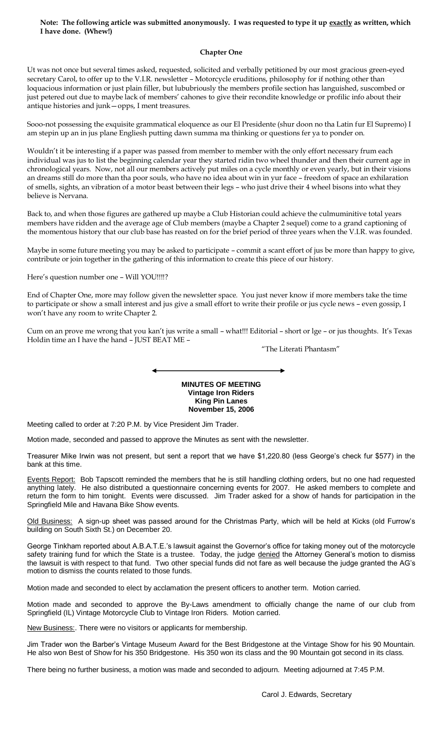#### **Note: The following article was submitted anonymously. I was requested to type it up exactly as written, which I have done. (Whew!)**

#### **Chapter One**

Ut was not once but several times asked, requested, solicited and verbally petitioned by our most gracious green-eyed secretary Carol, to offer up to the V.I.R. newsletter – Motorcycle eruditions, philosophy for if nothing other than loquacious information or just plain filler, but lububriously the members profile section has languished, suscombed or just petered out due to maybe lack of members' cahones to give their recondite knowledge or profilic info about their antique histories and junk—opps, I ment treasures.

Sooo-not possessing the exquisite grammatical eloquence as our El Presidente (shur doon no tha Latin fur El Supremo) I am stepin up an in jus plane Engliesh putting dawn summa ma thinking or questions fer ya to ponder on.

Wouldn't it be interesting if a paper was passed from member to member with the only effort necessary frum each individual was jus to list the beginning calendar year they started ridin two wheel thunder and then their current age in chronological years. Now, not all our members actively put miles on a cycle monthly or even yearly, but in their visions an dreams still do more than tha poor souls, who have no idea about win in yur face – freedom of space an exhilaration of smells, sights, an vibration of a motor beast between their legs – who just drive their 4 wheel bisons into what they believe is Nervana.

Back to, and when those figures are gathered up maybe a Club Historian could achieve the culmuminitive total years members have ridden and the average age of Club members (maybe a Chapter 2 sequel) come to a grand captioning of the momentous history that our club base has reasted on for the brief period of three years when the V.I.R. was founded.

Maybe in some future meeting you may be asked to participate – commit a scant effort of jus be more than happy to give, contribute or join together in the gathering of this information to create this piece of our history.

#### Here's question number one – Will YOU!!!!?

End of Chapter One, more may follow given the newsletter space. You just never know if more members take the time to participate or show a small interest and jus give a small effort to write their profile or jus cycle news – even gossip, I won't have any room to write Chapter 2.

Cum on an prove me wrong that you kan't jus write a small – what!!! Editorial – short or lge – or jus thoughts. It's Texas Holdin time an I have the hand – JUST BEAT ME –

"The Literati Phantasm"

**MINUTES OF MEETING Vintage Iron Riders King Pin Lanes November 15, 2006**

Meeting called to order at 7:20 P.M. by Vice President Jim Trader.

Motion made, seconded and passed to approve the Minutes as sent with the newsletter.

Treasurer Mike Irwin was not present, but sent a report that we have \$1,220.80 (less George's check fur \$577) in the bank at this time.

Events Report: Bob Tapscott reminded the members that he is still handling clothing orders, but no one had requested anything lately. He also distributed a questionnaire concerning events for 2007. He asked members to complete and return the form to him tonight. Events were discussed. Jim Trader asked for a show of hands for participation in the Springfield Mile and Havana Bike Show events.

Old Business: A sign-up sheet was passed around for the Christmas Party, which will be held at Kicks (old Furrow's building on South Sixth St.) on December 20.

George Tinkham reported about A.B.A.T.E.'s lawsuit against the Governor's office for taking money out of the motorcycle safety training fund for which the State is a trustee. Today, the judge denied the Attorney General's motion to dismiss the lawsuit is with respect to that fund. Two other special funds did not fare as well because the judge granted the AG's motion to dismiss the counts related to those funds.

Motion made and seconded to elect by acclamation the present officers to another term. Motion carried.

Motion made and seconded to approve the By-Laws amendment to officially change the name of our club from Springfield (IL) Vintage Motorcycle Club to Vintage Iron Riders. Motion carried.

New Business:. There were no visitors or applicants for membership.

Jim Trader won the Barber's Vintage Museum Award for the Best Bridgestone at the Vintage Show for his 90 Mountain. He also won Best of Show for his 350 Bridgestone. His 350 won its class and the 90 Mountain got second in its class.

There being no further business, a motion was made and seconded to adjourn. Meeting adjourned at 7:45 P.M.